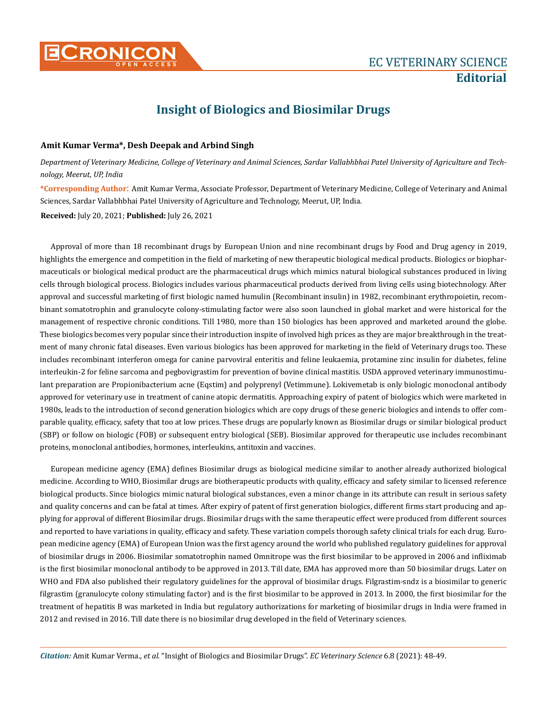

## **Insight of Biologics and Biosimilar Drugs**

## **Amit Kumar Verma\*, Desh Deepak and Arbind Singh**

*Department of Veterinary Medicine, College of Veterinary and Animal Sciences, Sardar Vallabhbhai Patel University of Agriculture and Technology, Meerut, UP, India*

**\*Corresponding Author**: Amit Kumar Verma, Associate Professor, Department of Veterinary Medicine, College of Veterinary and Animal Sciences, Sardar Vallabhbhai Patel University of Agriculture and Technology, Meerut, UP, India.

**Received:** July 20, 2021; **Published:** July 26, 2021

Approval of more than 18 recombinant drugs by European Union and nine recombinant drugs by Food and Drug agency in 2019, highlights the emergence and competition in the field of marketing of new therapeutic biological medical products. Biologics or biopharmaceuticals or biological medical product are the pharmaceutical drugs which mimics natural biological substances produced in living cells through biological process. Biologics includes various pharmaceutical products derived from living cells using biotechnology. After approval and successful marketing of first biologic named humulin (Recombinant insulin) in 1982, recombinant erythropoietin, recombinant somatotrophin and granulocyte colony-stimulating factor were also soon launched in global market and were historical for the management of respective chronic conditions. Till 1980, more than 150 biologics has been approved and marketed around the globe. These biologics becomes very popular since their introduction inspite of involved high prices as they are major breakthrough in the treatment of many chronic fatal diseases. Even various biologics has been approved for marketing in the field of Veterinary drugs too. These includes recombinant interferon omega for canine parvoviral enteritis and feline leukaemia, protamine zinc insulin for diabetes, feline interleukin-2 for feline sarcoma and pegbovigrastim for prevention of bovine clinical mastitis. USDA approved veterinary immunostimulant preparation are Propionibacterium acne (Eqstim) and polyprenyl (Vetimmune). Lokivemetab is only biologic monoclonal antibody approved for veterinary use in treatment of canine atopic dermatitis. Approaching expiry of patent of biologics which were marketed in 1980s, leads to the introduction of second generation biologics which are copy drugs of these generic biologics and intends to offer comparable quality, efficacy, safety that too at low prices. These drugs are popularly known as Biosimilar drugs or similar biological product (SBP) or follow on biologic (FOB) or subsequent entry biological (SEB). Biosimilar approved for therapeutic use includes recombinant proteins, monoclonal antibodies, hormones, interleukins, antitoxin and vaccines.

European medicine agency (EMA) defines Biosimilar drugs as biological medicine similar to another already authorized biological medicine. According to WHO, Biosimilar drugs are biotherapeutic products with quality, efficacy and safety similar to licensed reference biological products. Since biologics mimic natural biological substances, even a minor change in its attribute can result in serious safety and quality concerns and can be fatal at times. After expiry of patent of first generation biologics, different firms start producing and applying for approval of different Biosimilar drugs. Biosimilar drugs with the same therapeutic effect were produced from different sources and reported to have variations in quality, efficacy and safety. These variation compels thorough safety clinical trials for each drug. European medicine agency (EMA) of European Union was the first agency around the world who published regulatory guidelines for approval of biosimilar drugs in 2006. Biosimilar somatotrophin named Omnitrope was the first biosimilar to be approved in 2006 and infliximab is the first biosimilar monoclonal antibody to be approved in 2013. Till date, EMA has approved more than 50 biosimilar drugs. Later on WHO and FDA also published their regulatory guidelines for the approval of biosimilar drugs. Filgrastim-sndz is a biosimilar to generic filgrastim (granulocyte colony stimulating factor) and is the first biosimilar to be approved in 2013. In 2000, the first biosimilar for the treatment of hepatitis B was marketed in India but regulatory authorizations for marketing of biosimilar drugs in India were framed in 2012 and revised in 2016. Till date there is no biosimilar drug developed in the field of Veterinary sciences.